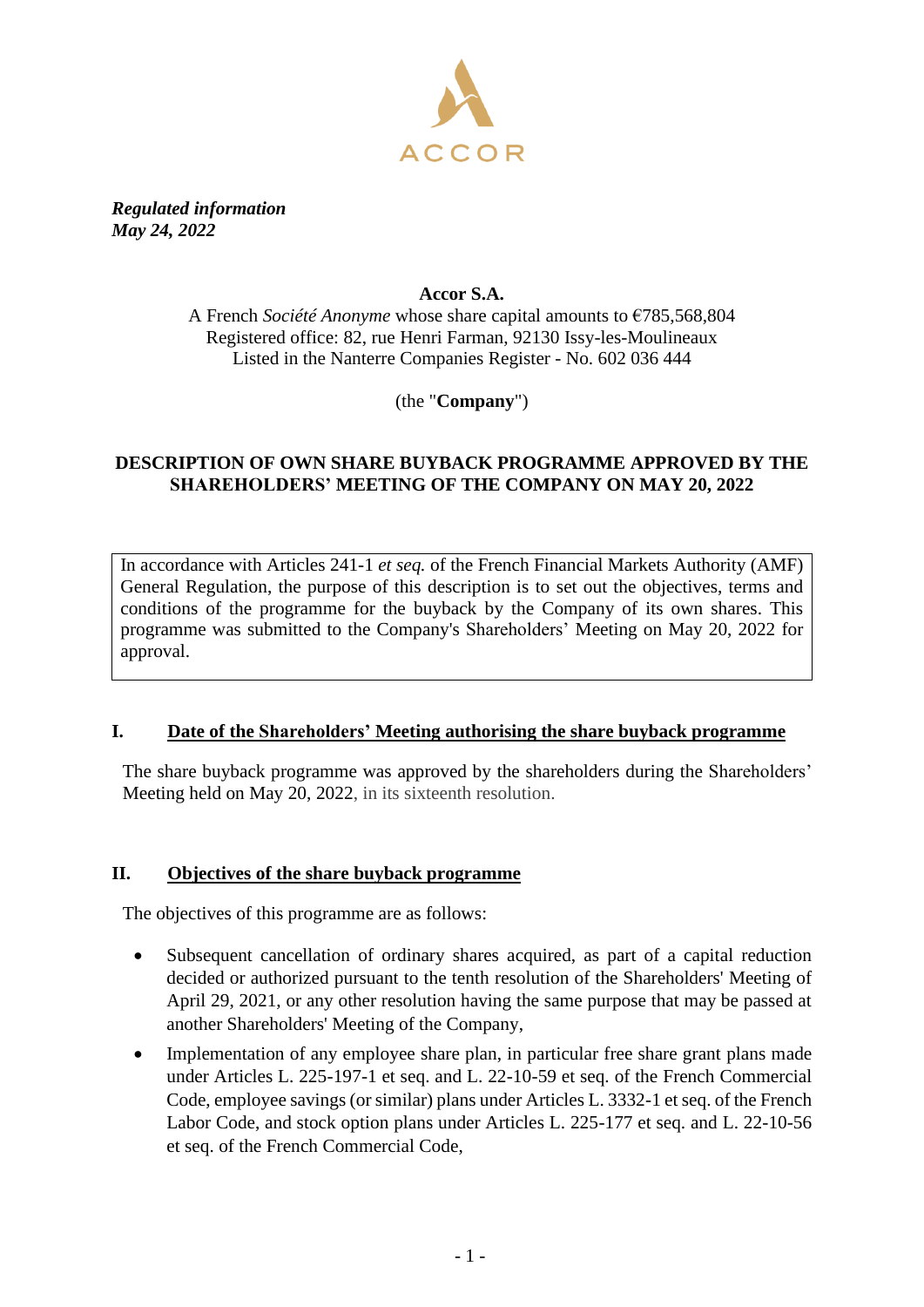

*Regulated information May 24, 2022*

### **Accor S.A.**

A French *Société Anonyme* whose share capital amounts to €785,568,804 Registered office: 82, rue Henri Farman, 92130 Issy-les-Moulineaux Listed in the Nanterre Companies Register - No. 602 036 444

(the "**Company**")

## **DESCRIPTION OF OWN SHARE BUYBACK PROGRAMME APPROVED BY THE SHAREHOLDERS' MEETING OF THE COMPANY ON MAY 20, 2022**

In accordance with Articles 241-1 *et seq.* of the French Financial Markets Authority (AMF) General Regulation, the purpose of this description is to set out the objectives, terms and conditions of the programme for the buyback by the Company of its own shares. This programme was submitted to the Company's Shareholders' Meeting on May 20, 2022 for approval.

### **I. Date of the Shareholders' Meeting authorising the share buyback programme**

The share buyback programme was approved by the shareholders during the Shareholders' Meeting held on May 20, 2022, in its sixteenth resolution.

### **II. Objectives of the share buyback programme**

The objectives of this programme are as follows:

- Subsequent cancellation of ordinary shares acquired, as part of a capital reduction decided or authorized pursuant to the tenth resolution of the Shareholders' Meeting of April 29, 2021, or any other resolution having the same purpose that may be passed at another Shareholders' Meeting of the Company,
- Implementation of any employee share plan, in particular free share grant plans made under Articles L. 225-197-1 et seq. and L. 22-10-59 et seq. of the French Commercial Code, employee savings (or similar) plans under Articles L. 3332-1 et seq. of the French Labor Code, and stock option plans under Articles L. 225-177 et seq. and L. 22-10-56 et seq. of the French Commercial Code,